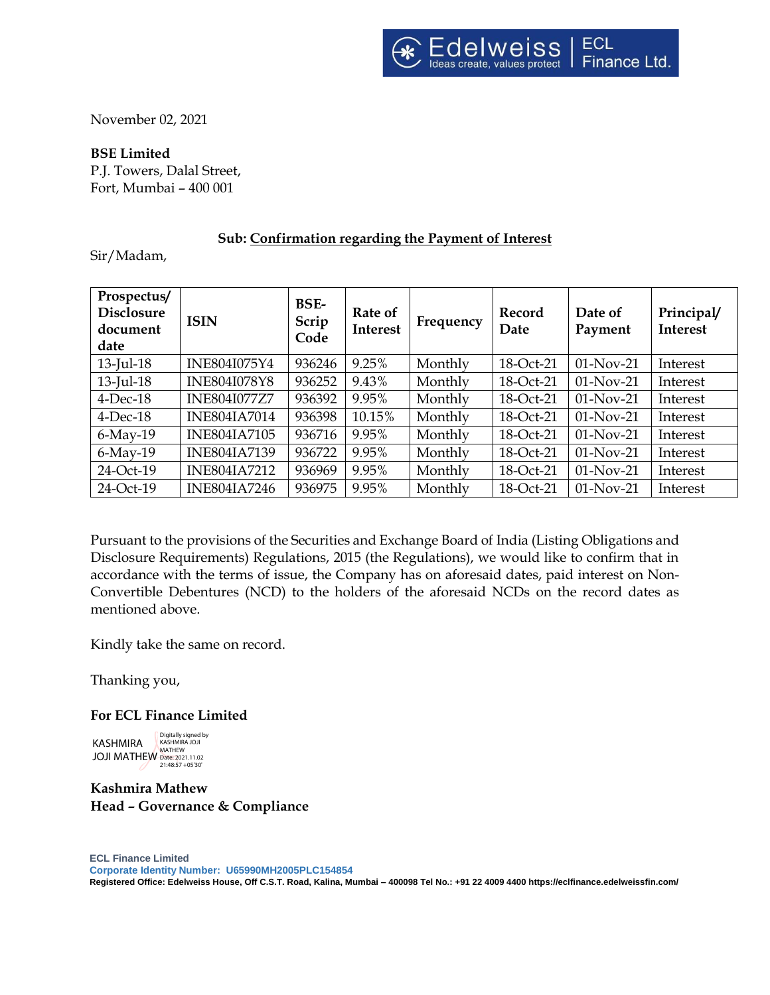November 02, 2021

### **BSE Limited**

P.J. Towers, Dalal Street, Fort, Mumbai – 400 001

# **Sub: Confirmation regarding the Payment of Interest**

Sir/Madam,

| Prospectus/<br><b>Disclosure</b><br>document<br>date | <b>ISIN</b>         | BSE-<br>Scrip<br>Code | Rate of<br><b>Interest</b> | Frequency | Record<br>Date | Date of<br>Payment | Principal/<br>Interest |
|------------------------------------------------------|---------------------|-----------------------|----------------------------|-----------|----------------|--------------------|------------------------|
| $13$ -Jul-18                                         | <b>INE804I075Y4</b> | 936246                | 9.25%                      | Monthly   | 18-Oct-21      | 01-Nov-21          | Interest               |
| $13$ -Jul- $18$                                      | <b>INE804I078Y8</b> | 936252                | 9.43%                      | Monthly   | 18-Oct-21      | 01-Nov-21          | Interest               |
| $4$ -Dec-18                                          | <b>INE804I077Z7</b> | 936392                | 9.95%                      | Monthly   | 18-Oct-21      | 01-Nov-21          | Interest               |
| $4$ -Dec-18                                          | <b>INE804IA7014</b> | 936398                | 10.15%                     | Monthly   | 18-Oct-21      | $01-Nov-21$        | Interest               |
| $6$ -May-19                                          | <b>INE804IA7105</b> | 936716                | 9.95%                      | Monthly   | 18-Oct-21      | 01-Nov-21          | Interest               |
| $6$ -May-19                                          | <b>INE804IA7139</b> | 936722                | 9.95%                      | Monthly   | 18-Oct-21      | $01-Nov-21$        | Interest               |
| 24-Oct-19                                            | <b>INE804IA7212</b> | 936969                | 9.95%                      | Monthly   | 18-Oct-21      | 01-Nov-21          | Interest               |
| 24-Oct-19                                            | <b>INE804IA7246</b> | 936975                | 9.95%                      | Monthly   | 18-Oct-21      | 01-Nov-21          | Interest               |

Pursuant to the provisions of the Securities and Exchange Board of India (Listing Obligations and Disclosure Requirements) Regulations, 2015 (the Regulations), we would like to confirm that in accordance with the terms of issue, the Company has on aforesaid dates, paid interest on Non-Convertible Debentures (NCD) to the holders of the aforesaid NCDs on the record dates as mentioned above.

Kindly take the same on record.

Thanking you,

### **For ECL Finance Limited**

KASHMIRA JOJI MATHEW MATHEW Digitally signed by KASHMIRA JOJI 21:48:57 +05'30'

**Kashmira Mathew Head – Governance & Compliance**